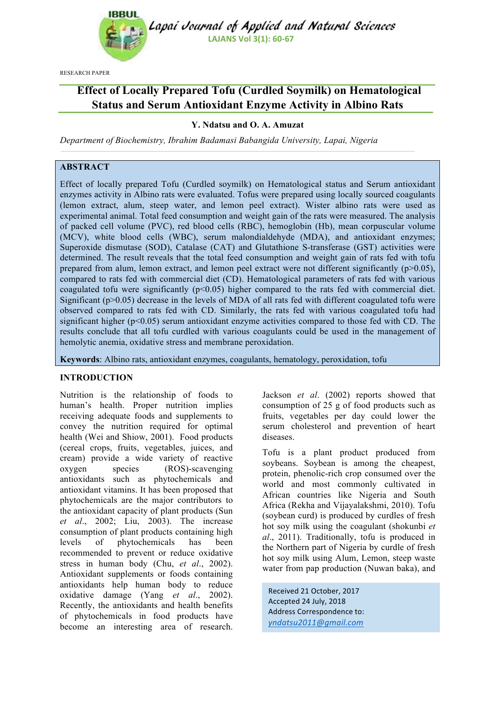

Lapai Journal of Applied and Natural Sciences **LAJANS Vol 3(1): 60-67** 

RESEARCH PAPER

# **Effect of Locally Prepared Tofu (Curdled Soymilk) on Hematological Status and Serum Antioxidant Enzyme Activity in Albino Rats**

# **Y. Ndatsu and O. A. Amuzat**

*Department of Biochemistry, Ibrahim Badamasi Babangida University, Lapai, Nigeria*

# **ABSTRACT**

Effect of locally prepared Tofu (Curdled soymilk) on Hematological status and Serum antioxidant enzymes activity in Albino rats were evaluated. Tofus were prepared using locally sourced coagulants (lemon extract, alum, steep water, and lemon peel extract). Wister albino rats were used as experimental animal. Total feed consumption and weight gain of the rats were measured. The analysis of packed cell volume (PVC), red blood cells (RBC), hemoglobin (Hb), mean corpuscular volume (MCV), white blood cells (WBC), serum malondialdehyde (MDA), and antioxidant enzymes; Superoxide dismutase (SOD), Catalase (CAT) and Glutathione S-transferase (GST) activities were determined. The result reveals that the total feed consumption and weight gain of rats fed with tofu prepared from alum, lemon extract, and lemon peel extract were not different significantly  $(p>0.05)$ , compared to rats fed with commercial diet (CD). Hematological parameters of rats fed with various coagulated tofu were significantly  $(p<0.05)$  higher compared to the rats fed with commercial diet. Significant (p>0.05) decrease in the levels of MDA of all rats fed with different coagulated tofu were observed compared to rats fed with CD. Similarly, the rats fed with various coagulated tofu had significant higher (p<0.05) serum antioxidant enzyme activities compared to those fed with CD. The results conclude that all tofu curdled with various coagulants could be used in the management of hemolytic anemia, oxidative stress and membrane peroxidation.

**Keywords**: Albino rats, antioxidant enzymes, coagulants, hematology, peroxidation, tofu

# **INTRODUCTION**

Nutrition is the relationship of foods to human's health. Proper nutrition implies receiving adequate foods and supplements to convey the nutrition required for optimal health (Wei and Shiow, 2001). Food products (cereal crops, fruits, vegetables, juices, and cream) provide a wide variety of reactive oxygen species (ROS)-scavenging antioxidants such as phytochemicals and antioxidant vitamins. It has been proposed that phytochemicals are the major contributors to the antioxidant capacity of plant products (Sun *et al*., 2002; Liu, 2003). The increase consumption of plant products containing high levels of phytochemicals has been recommended to prevent or reduce oxidative stress in human body (Chu, *et al*., 2002). Antioxidant supplements or foods containing antioxidants help human body to reduce oxidative damage (Yang *et al*., 2002). Recently, the antioxidants and health benefits of phytochemicals in food products have become an interesting area of research.

Jackson *et al*. (2002) reports showed that consumption of 25 g of food products such as fruits, vegetables per day could lower the serum cholesterol and prevention of heart diseases.

Tofu is a plant product produced from soybeans. Soybean is among the cheapest, protein, phenolic-rich crop consumed over the world and most commonly cultivated in African countries like Nigeria and South Africa (Rekha and Vijayalakshmi, 2010). Tofu (soybean curd) is produced by curdles of fresh hot soy milk using the coagulant (shokunbi *et al*., 2011). Traditionally, tofu is produced in the Northern part of Nigeria by curdle of fresh hot soy milk using Alum, Lemon, steep waste water from pap production (Nuwan baka), and

Received 21 October, 2017 Accepted 24 July, 2018 Address Correspondence to: *yndatsu2011@gmail.com*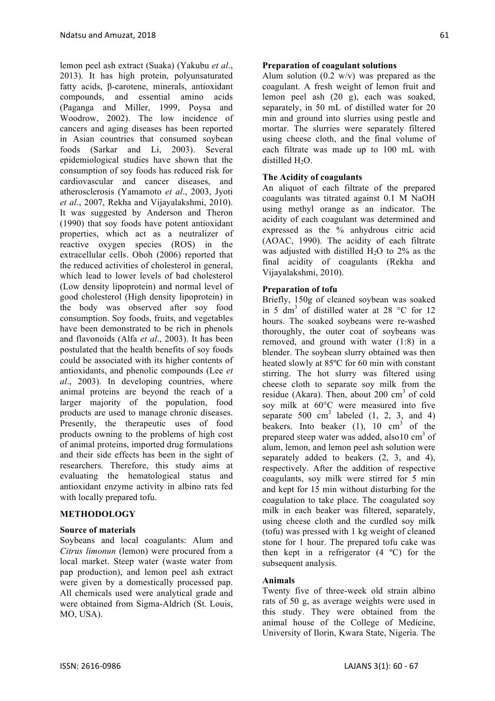lemon peel ash extract (Suaka) (Yakubu *et al*., 2013). It has high protein, polyunsaturated fatty acids, β-carotene, minerals, antioxidant compounds, and essential amino acids (Paganga and Miller, 1999, Poysa and Woodrow, 2002). The low incidence of cancers and aging diseases has been reported in Asian countries that consumed soybean foods (Sarkar and Li, 2003). Several epidemiological studies have shown that the consumption of soy foods has reduced risk for cardiovascular and cancer diseases, and atherosclerosis (Yamamoto *et al*., 2003, Jyoti *et al*., 2007, Rekha and Vijayalakshmi, 2010). It was suggested by Anderson and Theron (1990) that soy foods have potent antioxidant properties, which act as a neutralizer of reactive oxygen species (ROS) in the extracellular cells. Oboh (2006) reported that the reduced activities of cholesterol in general, which lead to lower levels of bad cholesterol (Low density lipoprotein) and normal level of good cholesterol (High density lipoprotein) in the body was observed after soy food consumption. Soy foods, fruits, and vegetables have been demonstrated to be rich in phenols and flavonoids (Alfa *et al*., 2003). It has been postulated that the health benefits of soy foods could be associated with its higher contents of antioxidants, and phenolic compounds (Lee *et al*., 2003). In developing countries, where animal proteins are beyond the reach of a larger majority of the population, food products are used to manage chronic diseases. Presently, the therapeutic uses of food products owning to the problems of high cost of animal proteins, imported drug formulations and their side effects has been in the sight of researchers. Therefore, this study aims at evaluating the hematological status and antioxidant enzyme activity in albino rats fed with locally prepared tofu.

# **METHODOLOGY**

# **Source of materials**

Soybeans and local coagulants: Alum and *Citrus limonun* (lemon) were procured from a local market. Steep water (waste water from pap production), and lemon peel ash extract were given by a domestically processed pap. All chemicals used were analytical grade and were obtained from Sigma-Aldrich (St. Louis, MO, USA).

# **Preparation of coagulant solutions**

Alum solution  $(0.2 \text{ w/v})$  was prepared as the coagulant. A fresh weight of lemon fruit and lemon peel ash (20 g), each was soaked, separately, in 50 mL of distilled water for 20 min and ground into slurries using pestle and mortar. The slurries were separately filtered using cheese cloth, and the final volume of each filtrate was made up to 100 mL with distilled H<sub>2</sub>O.

# **The Acidity of coagulants**

An aliquot of each filtrate of the prepared coagulants was titrated against 0.1 M NaOH using methyl orange as an indicator. The acidity of each coagulant was determined and expressed as the % anhydrous citric acid (AOAC, 1990). The acidity of each filtrate was adjusted with distilled  $H<sub>2</sub>O$  to 2% as the final acidity of coagulants (Rekha and Vijayalakshmi, 2010).

# **Preparation of tofu**

Briefly, 150g of cleaned soybean was soaked in 5 dm<sup>3</sup> of distilled water at 28  $^{\circ}$ C for 12 hours. The soaked soybeans were re-washed thoroughly, the outer coat of soybeans was removed, and ground with water (1:8) in a blender. The soybean slurry obtained was then heated slowly at 85ºC for 60 min with constant stirring. The hot slurry was filtered using cheese cloth to separate soy milk from the residue (Akara). Then, about 200  $\text{cm}^3$  of cold soy milk at 60°C were measured into five separate 500 cm<sup>3</sup> labeled  $(1, 2, 3, \text{ and } 4)$ beakers. Into beaker  $(1)$ ,  $10 \text{ cm}^3$  of the prepared steep water was added, also  $10 \text{ cm}^3$  of alum, lemon, and lemon peel ash solution were separately added to beakers (2, 3, and 4), respectively. After the addition of respective coagulants, soy milk were stirred for 5 min and kept for 15 min without disturbing for the coagulation to take place. The coagulated soy milk in each beaker was filtered, separately, using cheese cloth and the curdled soy milk (tofu) was pressed with 1 kg weight of cleaned stone for 1 hour. The prepared tofu cake was then kept in a refrigerator  $(4 \degree C)$  for the subsequent analysis.

# **Animals**

Twenty five of three-week old strain albino rats of 50 g, as average weights were used in this study. They were obtained from the animal house of the College of Medicine, University of Ilorin, Kwara State, Nigeria. The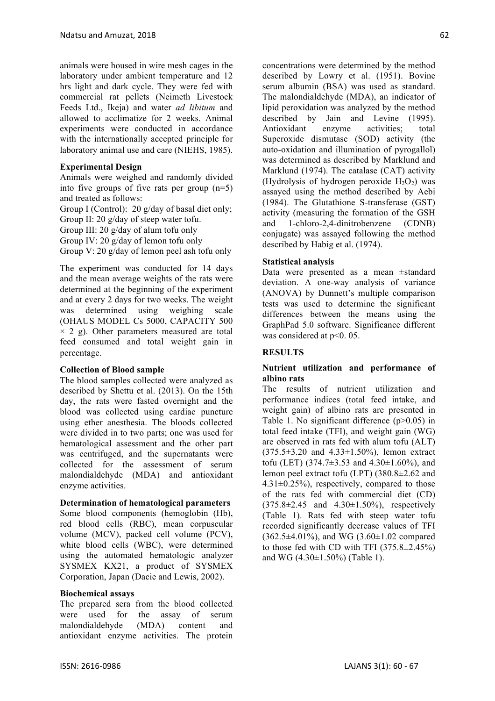animals were housed in wire mesh cages in the laboratory under ambient temperature and 12 hrs light and dark cycle. They were fed with commercial rat pellets (Neimeth Livestock Feeds Ltd., Ikeja) and water *ad libitum* and allowed to acclimatize for 2 weeks. Animal experiments were conducted in accordance with the internationally accepted principle for laboratory animal use and care (NIEHS, 1985).

# **Experimental Design**

Animals were weighed and randomly divided into five groups of five rats per group (n=5) and treated as follows:

Group I (Control): 20 g/day of basal diet only; Group II: 20 g/day of steep water tofu. Group III: 20 g/day of alum tofu only Group IV: 20 g/day of lemon tofu only Group V: 20 g/day of lemon peel ash tofu only

The experiment was conducted for 14 days and the mean average weights of the rats were determined at the beginning of the experiment and at every 2 days for two weeks. The weight was determined using weighing scale (OHAUS MODEL Cs 5000, CAPACITY 500  $\times$  2 g). Other parameters measured are total feed consumed and total weight gain in percentage.

# **Collection of Blood sample**

The blood samples collected were analyzed as described by Shettu et al. (2013). On the 15th day, the rats were fasted overnight and the blood was collected using cardiac puncture using ether anesthesia. The bloods collected were divided in to two parts; one was used for hematological assessment and the other part was centrifuged, and the supernatants were collected for the assessment of serum malondialdehyde (MDA) and antioxidant enzyme activities.

#### **Determination of hematological parameters**

Some blood components (hemoglobin (Hb), red blood cells (RBC), mean corpuscular volume (MCV), packed cell volume (PCV), white blood cells (WBC), were determined using the automated hematologic analyzer SYSMEX KX21, a product of SYSMEX Corporation, Japan (Dacie and Lewis, 2002).

#### **Biochemical assays**

The prepared sera from the blood collected were used for the assay of serum malondialdehyde (MDA) content and antioxidant enzyme activities. The protein

concentrations were determined by the method described by Lowry et al. (1951). Bovine serum albumin (BSA) was used as standard. The malondialdehyde (MDA), an indicator of lipid peroxidation was analyzed by the method described by Jain and Levine (1995). Antioxidant enzyme activities; total Superoxide dismutase (SOD) activity (the auto-oxidation and illumination of pyrogallol) was determined as described by Marklund and Marklund (1974). The catalase (CAT) activity (Hydrolysis of hydrogen peroxide  $H_2O_2$ ) was assayed using the method described by Aebi (1984). The Glutathione S-transferase (GST) activity (measuring the formation of the GSH and 1-chloro-2,4-dinitrobenzene (CDNB) conjugate) was assayed following the method described by Habig et al. (1974).

### **Statistical analysis**

Data were presented as a mean ±standard deviation. A one-way analysis of variance (ANOVA) by Dunnett's multiple comparison tests was used to determine the significant differences between the means using the GraphPad 5.0 software. Significance different was considered at p˂0. 05.

#### **RESULTS**

# **Nutrient utilization and performance of albino rats**

The results of nutrient utilization and performance indices (total feed intake, and weight gain) of albino rats are presented in Table 1. No significant difference (p>0.05) in total feed intake (TFI), and weight gain (WG) are observed in rats fed with alum tofu (ALT)  $(375.5 \pm 3.20$  and  $4.33 \pm 1.50\%$ ), lemon extract tofu (LET)  $(374.7 \pm 3.53 \text{ and } 4.30 \pm 1.60\%)$ , and lemon peel extract tofu (LPT) (380.8±2.62 and  $4.31\pm0.25\%$ , respectively, compared to those of the rats fed with commercial diet (CD)  $(375.8 \pm 2.45$  and  $4.30 \pm 1.50\%$ ), respectively (Table 1). Rats fed with steep water tofu recorded significantly decrease values of TFI  $(362.5 \pm 4.01\%)$ , and WG  $(3.60 \pm 1.02$  compared to those fed with CD with TFI  $(375.8 \pm 2.45\%)$ and WG (4.30±1.50%) (Table 1).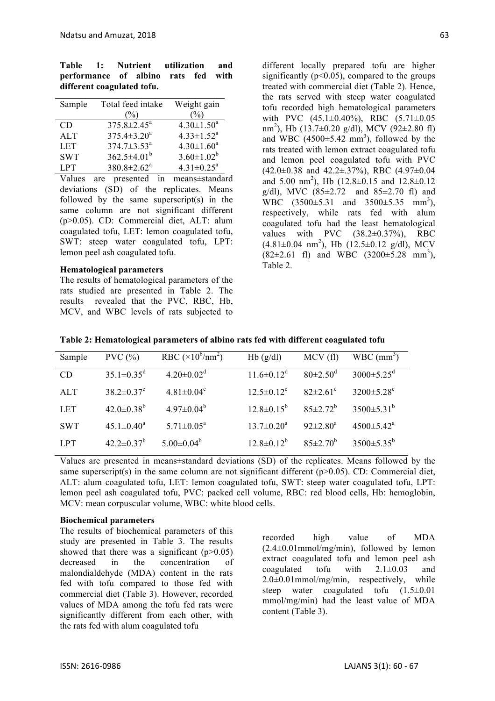| Table 1: Nutrient utilization and   |  |  |  |
|-------------------------------------|--|--|--|
| performance of albino rats fed with |  |  |  |
| different coagulated tofu.          |  |  |  |

| Sample     | Total feed intake        | Weight gain                  |
|------------|--------------------------|------------------------------|
|            | (%)                      | $(\%)$                       |
| CD         | $375.8 \pm 2.45^{\circ}$ | $4.30 \pm 1.50^a$            |
| ATT        | $375.4 \pm 3.20^a$       | $4.33 \pm 1.52^a$            |
| <b>LET</b> | $374.7 \pm 3.53^a$       | $4.30 \pm 1.60^a$            |
| <b>SWT</b> | $362.5 \pm 4.01^b$       | $3.60 \pm 1.02^b$            |
| <b>LPT</b> | $380.8 \pm 2.62^a$       | $4.31 \pm 0.25$ <sup>a</sup> |

Values are presented in means±standard deviations (SD) of the replicates. Means followed by the same superscript(s) in the same column are not significant different (p>0.05). CD: Commercial diet, ALT: alum coagulated tofu, LET: lemon coagulated tofu, SWT: steep water coagulated tofu, LPT: lemon peel ash coagulated tofu.

#### **Hematological parameters**

The results of hematological parameters of the rats studied are presented in Table 2. The results revealed that the PVC, RBC, Hb, MCV, and WBC levels of rats subjected to

different locally prepared tofu are higher significantly ( $p<0.05$ ), compared to the groups treated with commercial diet (Table 2). Hence, the rats served with steep water coagulated tofu recorded high hematological parameters with PVC  $(45.1\pm0.40\%)$ , RBC  $(5.71\pm0.05$ nm 2 ), Hb (13.7±0.20 g/dl), MCV (92±2.80 fl) and WBC  $(4500 \pm 5.42 \text{ mm}^3)$ , followed by the rats treated with lemon extract coagulated tofu and lemon peel coagulated tofu with PVC  $(42.0\pm0.38$  and  $42.2\pm.37\%)$ , RBC  $(4.97\pm0.04)$ and 5.00 nm<sup>2</sup>), Hb  $(12.8 \pm 0.15$  and  $12.8 \pm 0.12$ g/dl), MVC  $(85 \pm 2.72$  and  $85 \pm 2.70$  fl) and WBC  $(3500 \pm 5.31 \text{ and } 3500 \pm 5.35 \text{ mm}^3)$ , respectively, while rats fed with alum coagulated tofu had the least hematological values with PVC  $(38.2\pm0.37\%)$ , RBC  $(4.81 \pm 0.04 \text{ nm}^2)$ , Hb  $(12.5 \pm 0.12 \text{ g/dl})$ , MCV  $(82\pm2.61 \text{ fl})$  and WBC  $(3200\pm5.28 \text{ mm}^3)$ , Table 2.

| Sample     | PVC(%)                       | RBC $(\times 10^6/\text{nm}^2)$ | Hb(g/dl)          | MCV(f)                     | $WBC$ (mm <sup>3</sup> )     |
|------------|------------------------------|---------------------------------|-------------------|----------------------------|------------------------------|
| CD         | $35.1 \pm 0.35$ <sup>d</sup> | $4.20 \pm 0.02$ <sup>d</sup>    | $11.6 \pm 0.12^d$ | $80 \pm 2.50$ <sup>d</sup> | $3000 \pm 5.25$ <sup>d</sup> |
| <b>ALT</b> | $38.2 \pm 0.37$ °            | $4.81 \pm 0.04^c$               | $12.5 \pm 0.12^c$ | $82 \pm 2.61$ °            | $3200 \pm 5.28$ °            |
| <b>LET</b> | $42.0 \pm 0.38^b$            | $4.97 \pm 0.04^b$               | $12.8 \pm 0.15^b$ | $85 \pm 2.72^b$            | $3500 \pm 5.31^b$            |
| <b>SWT</b> | $45.1 \pm 0.40^a$            | $5.71 \pm 0.05^a$               | $13.7 \pm 0.20^a$ | $92 \pm 2.80^a$            | $4500 \pm 5.42^{\circ}$      |
| <b>LPT</b> | $42.2 \pm 0.37^b$            | $5.00 \pm 0.04^b$               | $12.8 \pm 0.12^b$ | $85 \pm 2.70^b$            | $3500 \pm 5.35^{\circ}$      |

**Table 2: Hematological parameters of albino rats fed with different coagulated tofu**

Values are presented in means±standard deviations (SD) of the replicates. Means followed by the same superscript(s) in the same column are not significant different ( $p>0.05$ ). CD: Commercial diet, ALT: alum coagulated tofu, LET: lemon coagulated tofu, SWT: steep water coagulated tofu, LPT: lemon peel ash coagulated tofu, PVC: packed cell volume, RBC: red blood cells, Hb: hemoglobin, MCV: mean corpuscular volume, WBC: white blood cells.

#### **Biochemical parameters**

The results of biochemical parameters of this study are presented in Table 3. The results showed that there was a significant  $(p>0.05)$ decreased in the concentration of malondialdehyde (MDA) content in the rats fed with tofu compared to those fed with commercial diet (Table 3). However, recorded values of MDA among the tofu fed rats were significantly different from each other, with the rats fed with alum coagulated tofu

recorded high value of MDA  $(2.4\pm0.01$ mmol/mg/min), followed by lemon extract coagulated tofu and lemon peel ash coagulated tofu with  $2.1 \pm 0.03$  and  $2.0\pm0.01$ mmol/mg/min, respectively, while steep water coagulated tofu  $(1.5\pm0.01)$ mmol/mg/min) had the least value of MDA content (Table 3).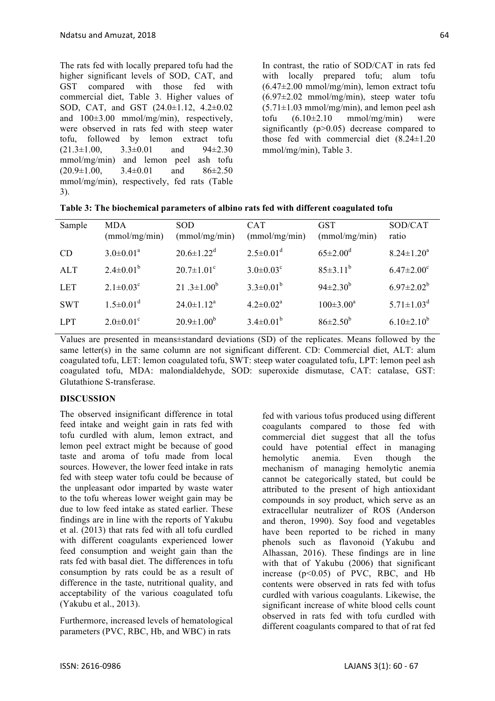The rats fed with locally prepared tofu had the higher significant levels of SOD, CAT, and GST compared with those fed with commercial diet, Table 3. Higher values of SOD, CAT, and GST (24.0±1.12, 4.2±0.02 and 100±3.00 mmol/mg/min), respectively, were observed in rats fed with steep water tofu, followed by lemon extract tofu  $(21.3 \pm 1.00, \quad 3.3 \pm 0.01$  and  $94 \pm 2.30$ mmol/mg/min) and lemon peel ash tofu  $(20.9\pm1.00, 3.4\pm0.01, and 86\pm2.50)$ mmol/mg/min), respectively, fed rats (Table 3).

In contrast, the ratio of SOD/CAT in rats fed with locally prepared tofu; alum tofu  $(6.47\pm2.00 \text{ mmol/mg/min})$ , lemon extract tofu  $(6.97\pm2.02 \text{ mmol/mg/min})$ , steep water tofu  $(5.71\pm1.03 \text{ mmol/mg/min})$ , and lemon peel ash tofu  $(6.10\pm2.10 \text{ mmol/mg/min})$  were significantly (p>0.05) decrease compared to those fed with commercial diet (8.24±1.20 mmol/mg/min), Table 3.

| Sample     | <b>MDA</b><br>(mmol/mg/min) | <b>SOD</b><br>(mmol/mg/min)  | <b>CAT</b><br>(mmol/mg/min) | <b>GST</b><br>(mmol/mg/min) | SOD/CAT<br>ratio             |
|------------|-----------------------------|------------------------------|-----------------------------|-----------------------------|------------------------------|
| <b>CD</b>  | $3.0 \pm 0.01^a$            | $20.6 \pm 1.22$ <sup>d</sup> | $2.5 \pm 0.01^d$            | $65 \pm 2.00^{\circ}$       | $8.24 \pm 1.20^a$            |
| <b>ALT</b> | $2.4 \pm 0.01^b$            | $20.7 \pm 1.01^{\circ}$      | $3.0 \pm 0.03$ <sup>c</sup> | $85 \pm 3.11^b$             | $6.47 \pm 2.00$ <sup>c</sup> |
| <b>LET</b> | $2.1 \pm 0.03^c$            | 21.3 $\pm$ 1.00 <sup>b</sup> | $3.3 \pm 0.01^b$            | $94\pm2.30^{b}$             | $6.97 \pm 2.02^b$            |
| <b>SWT</b> | $1.5 \pm 0.01$ <sup>d</sup> | $24.0 \pm 1.12^a$            | $4.2 \pm 0.02^a$            | $100 \pm 3.00^a$            | $5.71 \pm 1.03^d$            |
| LPT.       | $2.0 \pm 0.01$ <sup>c</sup> | $20.9 \pm 1.00^b$            | $3.4 \pm 0.01^b$            | $86 \pm 2.50^b$             | $6.10\pm2.10^{b}$            |

|  |  |  | Table 3: The biochemical parameters of albino rats fed with different coagulated tofu |
|--|--|--|---------------------------------------------------------------------------------------|
|--|--|--|---------------------------------------------------------------------------------------|

Values are presented in means±standard deviations (SD) of the replicates. Means followed by the same letter(s) in the same column are not significant different. CD: Commercial diet, ALT: alum coagulated tofu, LET: lemon coagulated tofu, SWT: steep water coagulated tofu, LPT: lemon peel ash coagulated tofu, MDA: malondialdehyde, SOD: superoxide dismutase, CAT: catalase, GST: Glutathione S-transferase.

# **DISCUSSION**

The observed insignificant difference in total feed intake and weight gain in rats fed with tofu curdled with alum, lemon extract, and lemon peel extract might be because of good taste and aroma of tofu made from local sources. However, the lower feed intake in rats fed with steep water tofu could be because of the unpleasant odor imparted by waste water to the tofu whereas lower weight gain may be due to low feed intake as stated earlier. These findings are in line with the reports of Yakubu et al. (2013) that rats fed with all tofu curdled with different coagulants experienced lower feed consumption and weight gain than the rats fed with basal diet. The differences in tofu consumption by rats could be as a result of difference in the taste, nutritional quality, and acceptability of the various coagulated tofu (Yakubu et al., 2013).

Furthermore, increased levels of hematological parameters (PVC, RBC, Hb, and WBC) in rats

fed with various tofus produced using different coagulants compared to those fed with commercial diet suggest that all the tofus could have potential effect in managing hemolytic anemia. Even though the mechanism of managing hemolytic anemia cannot be categorically stated, but could be attributed to the present of high antioxidant compounds in soy product, which serve as an extracellular neutralizer of ROS (Anderson and theron, 1990). Soy food and vegetables have been reported to be riched in many phenols such as flavonoid (Yakubu and Alhassan, 2016). These findings are in line with that of Yakubu (2006) that significant increase  $(p<0.05)$  of PVC, RBC, and Hb contents were observed in rats fed with tofus curdled with various coagulants. Likewise, the significant increase of white blood cells count observed in rats fed with tofu curdled with different coagulants compared to that of rat fed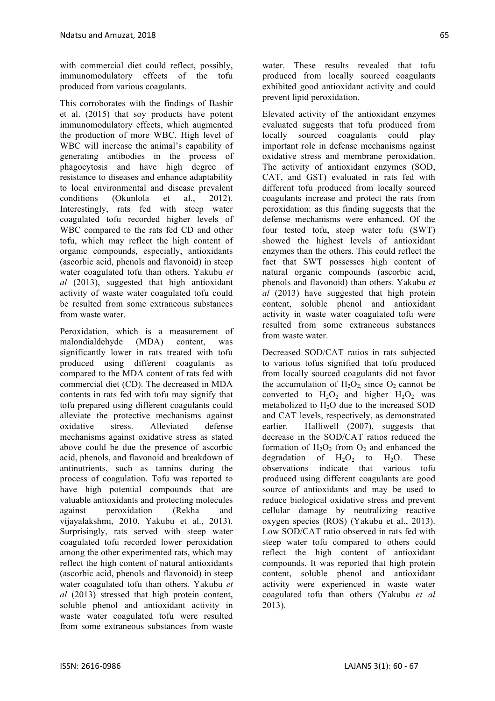with commercial diet could reflect, possibly, immunomodulatory effects of the tofu produced from various coagulants.

This corroborates with the findings of Bashir et al. (2015) that soy products have potent immunomodulatory effects, which augmented the production of more WBC. High level of WBC will increase the animal's capability of generating antibodies in the process of phagocytosis and have high degree of resistance to diseases and enhance adaptability to local environmental and disease prevalent conditions (Okunlola et al., 2012). Interestingly, rats fed with steep water coagulated tofu recorded higher levels of WBC compared to the rats fed CD and other tofu, which may reflect the high content of organic compounds, especially, antioxidants (ascorbic acid, phenols and flavonoid) in steep water coagulated tofu than others. Yakubu *et al* (2013), suggested that high antioxidant activity of waste water coagulated tofu could be resulted from some extraneous substances from waste water.

Peroxidation, which is a measurement of malondialdehyde (MDA) content, was significantly lower in rats treated with tofu produced using different coagulants as compared to the MDA content of rats fed with commercial diet (CD). The decreased in MDA contents in rats fed with tofu may signify that tofu prepared using different coagulants could alleviate the protective mechanisms against oxidative stress. Alleviated defense mechanisms against oxidative stress as stated above could be due the presence of ascorbic acid, phenols, and flavonoid and breakdown of antinutrients, such as tannins during the process of coagulation. Tofu was reported to have high potential compounds that are valuable antioxidants and protecting molecules against peroxidation (Rekha and vijayalakshmi, 2010, Yakubu et al., 2013). Surprisingly, rats served with steep water coagulated tofu recorded lower peroxidation among the other experimented rats, which may reflect the high content of natural antioxidants (ascorbic acid, phenols and flavonoid) in steep water coagulated tofu than others. Yakubu *et al* (2013) stressed that high protein content, soluble phenol and antioxidant activity in waste water coagulated tofu were resulted from some extraneous substances from waste

water. These results revealed that tofu produced from locally sourced coagulants exhibited good antioxidant activity and could prevent lipid peroxidation.

Elevated activity of the antioxidant enzymes evaluated suggests that tofu produced from locally sourced coagulants could play important role in defense mechanisms against oxidative stress and membrane peroxidation. The activity of antioxidant enzymes (SOD, CAT, and GST) evaluated in rats fed with different tofu produced from locally sourced coagulants increase and protect the rats from peroxidation: as this finding suggests that the defense mechanisms were enhanced. Of the four tested tofu, steep water tofu (SWT) showed the highest levels of antioxidant enzymes than the others. This could reflect the fact that SWT possesses high content of natural organic compounds (ascorbic acid, phenols and flavonoid) than others. Yakubu *et al* (2013) have suggested that high protein content, soluble phenol and antioxidant activity in waste water coagulated tofu were resulted from some extraneous substances from waste water.

Decreased SOD/CAT ratios in rats subjected to various tofus signified that tofu produced from locally sourced coagulants did not favor the accumulation of  $H_2O_2$  since  $O_2$  cannot be converted to  $H_2O_2$  and higher  $H_2O_2$  was metabolized to  $H_2O$  due to the increased SOD and CAT levels, respectively, as demonstrated earlier. Halliwell (2007), suggests that decrease in the SOD/CAT ratios reduced the formation of  $H_2O_2$  from  $O_2$  and enhanced the degradation of  $H_2O_2$  to  $H_2O$ . These observations indicate that various tofu produced using different coagulants are good source of antioxidants and may be used to reduce biological oxidative stress and prevent cellular damage by neutralizing reactive oxygen species (ROS) (Yakubu et al., 2013). Low SOD/CAT ratio observed in rats fed with steep water tofu compared to others could reflect the high content of antioxidant compounds. It was reported that high protein content, soluble phenol and antioxidant activity were experienced in waste water coagulated tofu than others (Yakubu *et al* 2013).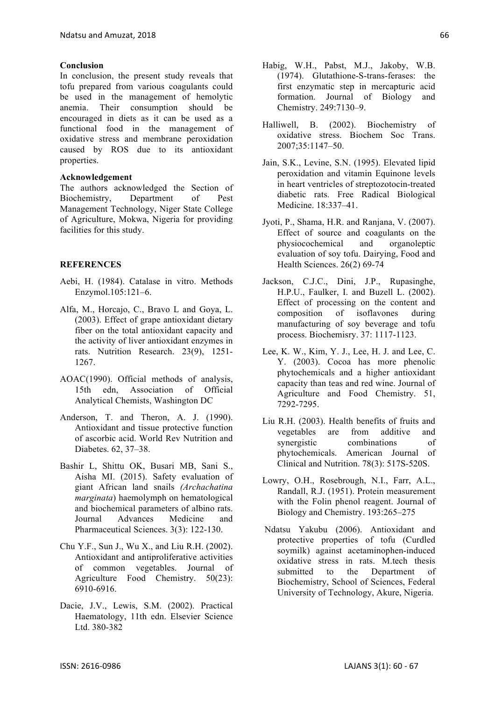### **Conclusion**

In conclusion, the present study reveals that tofu prepared from various coagulants could be used in the management of hemolytic anemia. Their consumption should be encouraged in diets as it can be used as a functional food in the management of oxidative stress and membrane peroxidation caused by ROS due to its antioxidant properties.

# **Acknowledgement**

The authors acknowledged the Section of Biochemistry, Department of Pest Management Technology, Niger State College of Agriculture, Mokwa, Nigeria for providing facilities for this study.

# **REFERENCES**

- Aebi, H. (1984). Catalase in vitro. Methods Enzymol.105:121–6.
- Alfa, M., Horcajo, C., Bravo L and Goya, L. (2003). Effect of grape antioxidant dietary fiber on the total antioxidant capacity and the activity of liver antioxidant enzymes in rats. Nutrition Research. 23(9), 1251- 1267.
- AOAC(1990). Official methods of analysis, 15th edn, Association of Official Analytical Chemists, Washington DC
- Anderson, T. and Theron, A. J. (1990). Antioxidant and tissue protective function of ascorbic acid. World Rev Nutrition and Diabetes. 62, 37–38.
- Bashir L, Shittu OK, Busari MB, Sani S., Aisha MI. (2015). Safety evaluation of giant African land snails *(Archachatina marginata*) haemolymph on hematological and biochemical parameters of albino rats. Journal Advances Medicine and Pharmaceutical Sciences. 3(3): 122-130.
- Chu Y.F., Sun J., Wu X., and Liu R.H. (2002). Antioxidant and antiproliferative activities of common vegetables. Journal of Agriculture Food Chemistry. 50(23): 6910-6916.
- Dacie, J.V., Lewis, S.M. (2002). Practical Haematology, 11th edn. Elsevier Science Ltd. 380-382
- Habig, W.H., Pabst, M.J., Jakoby, W.B. (1974). Glutathione-S-trans-ferases: the first enzymatic step in mercapturic acid formation. Journal of Biology and Chemistry. 249:7130–9.
- Halliwell, B. (2002). Biochemistry of oxidative stress. Biochem Soc Trans. 2007;35:1147–50.
- Jain, S.K., Levine, S.N. (1995). Elevated lipid peroxidation and vitamin Equinone levels in heart ventricles of streptozotocin-treated diabetic rats. Free Radical Biological Medicine. 18:337–41.
- Jyoti, P., Shama, H.R. and Ranjana, V. (2007). Effect of source and coagulants on the physiocochemical and organoleptic evaluation of soy tofu. Dairying, Food and Health Sciences. 26(2) 69-74
- Jackson, C.J.C., Dini, J.P., Rupasinghe, H.P.U., Faulker, I. and Buzell L. (2002). Effect of processing on the content and composition of isoflavones during manufacturing of soy beverage and tofu process. Biochemisry. 37: 1117-1123.
- Lee, K. W., Kim, Y. J., Lee, H. J. and Lee, C. Y. (2003). Cocoa has more phenolic phytochemicals and a higher antioxidant capacity than teas and red wine. Journal of Agriculture and Food Chemistry. 51, 7292-7295.
- Liu R.H. (2003). Health benefits of fruits and vegetables are from additive and synergistic combinations of phytochemicals. American Journal of Clinical and Nutrition. 78(3): 517S-520S.
- Lowry, O.H., Rosebrough, N.I., Farr, A.L., Randall, R.J. (1951). Protein measurement with the Folin phenol reagent. Journal of Biology and Chemistry. 193:265–275
- Ndatsu Yakubu (2006). Antioxidant and protective properties of tofu (Curdled soymilk) against acetaminophen-induced oxidative stress in rats. M.tech thesis submitted to the Department of Biochemistry, School of Sciences, Federal University of Technology, Akure, Nigeria.